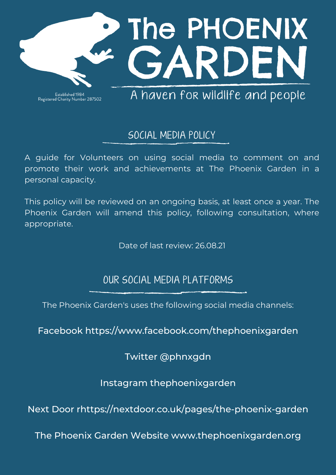

Established 1984<br>Registered Charity Number 287502

A haven for wildlife and people

## SOCIAL MEDIA POLICY

A guide for Volunteers on using social media to comment on and promote their work and achievements at The Phoenix Garden in a personal capacity.

This policy will be reviewed on an ongoing basis, at least once a year. The Phoenix Garden will amend this policy, following consultation, where appropriate.

Date of last review: 26.08.21

## OUR SOCIAL MEDIA PLATFORMS

The Phoenix Garden's uses the following social media channels:

Facebook <https://www.facebook.com/thephoenixgarden>

Twitter @phnxgdn

Instagram thephoenixgarden

Next Door [rhttps://nextdoor.co.uk/pages/the-phoenix-garden](https://nextdoor.co.uk/pages/the-phoenix-garden)

The Phoenix Garden Website [www.thephoenixgarden.org](http://www.thephoenixgarden.org/)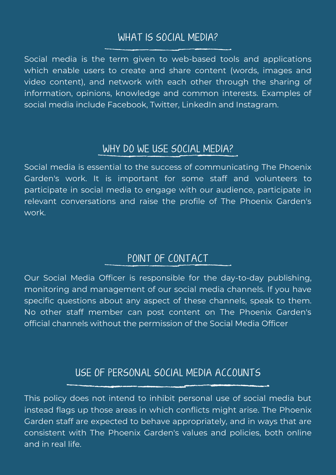## WHAT IS SOCIAL MEDIA?

Social media is the term given to web-based tools and applications which enable users to create and share content (words, images and video content), and network with each other through the sharing of information, opinions, knowledge and common interests. Examples of social media include Facebook, Twitter, LinkedIn and Instagram.

#### WHY DO WE USE SOCIAL MEDIA?

Social media is essential to the success of communicating The Phoenix Garden's work. It is important for some staff and volunteers to participate in social media to engage with our audience, participate in relevant conversations and raise the profile of The Phoenix Garden's work.

# POINT OF CONTACT

Our Social Media Officer is responsible for the day-to-day publishing, monitoring and management of our social media channels. If you have specific questions about any aspect of these channels, speak to them. No other staff member can post content on The Phoenix Garden's official channels without the permission of the Social Media Officer

## USE OF PERSONAL SOCIAL MEDIA ACCOUNTS

This policy does not intend to inhibit personal use of social media but instead flags up those areas in which conflicts might arise. The Phoenix Garden staff are expected to behave appropriately, and in ways that are consistent with The Phoenix Garden's values and policies, both online and in real life.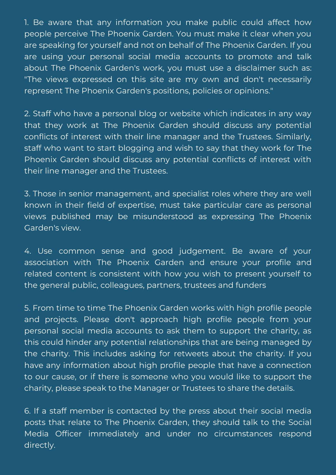1. Be aware that any information you make public could affect how people perceive The Phoenix Garden. You must make it clear when you are speaking for yourself and not on behalf of The Phoenix Garden. If you are using your personal social media accounts to promote and talk about The Phoenix Garden's work, you must use a disclaimer such as: "The views expressed on this site are my own and don't necessarily represent The Phoenix Garden's positions, policies or opinions."

2. Staff who have a personal blog or website which indicates in any way that they work at The Phoenix Garden should discuss any potential conflicts of interest with their line manager and the Trustees. Similarly, staff who want to start blogging and wish to say that they work for The Phoenix Garden should discuss any potential conflicts of interest with their line manager and the Trustees.

3. Those in senior management, and specialist roles where they are well known in their field of expertise, must take particular care as personal views published may be misunderstood as expressing The Phoenix Garden's view.

4. Use common sense and good judgement. Be aware of your association with The Phoenix Garden and ensure your profile and related content is consistent with how you wish to present yourself to the general public, colleagues, partners, trustees and funders

5. From time to time The Phoenix Garden works with high profile people and projects. Please don't approach high profile people from your personal social media accounts to ask them to support the charity, as this could hinder any potential relationships that are being managed by the charity. This includes asking for retweets about the charity. If you have any information about high profile people that have a connection to our cause, or if there is someone who you would like to support the charity, please speak to the Manager or Trustees to share the details.

6. If a staff member is contacted by the press about their social media posts that relate to The Phoenix Garden, they should talk to the Social Media Officer immediately and under no circumstances respond directly.